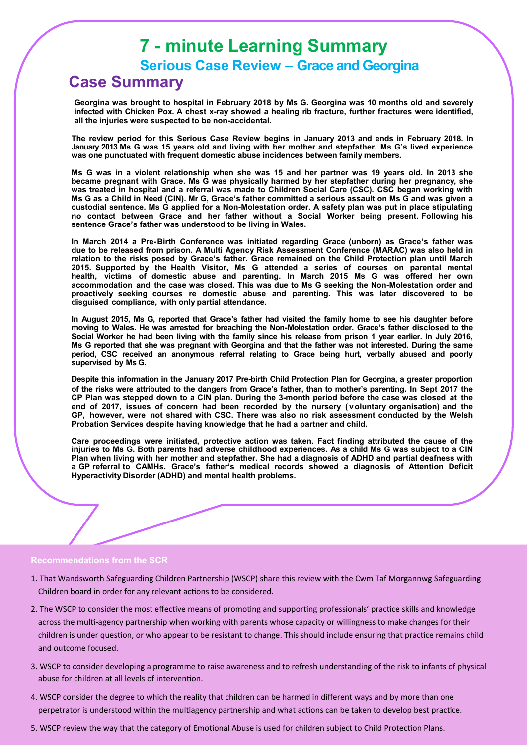# **7 - minute Learning Summary**

**Serious Case Review – Grace and Georgina**

## **Case Summary**

**Georgina was brought to hospital in February 2018 by Ms G. Georgina was 10 months old and severely infected with Chicken Pox. A chest x-ray showed a healing rib fracture, further fractures were identified, all the injuries were suspected to be non-accidental.**

**The review period for this Serious Case Review begins in January 2013 and ends in February 2018. In January 2013 Ms G was 15 years old and living with her mother and stepfather. Ms G's lived experience was one punctuated with frequent domestic abuse incidences between family members.**

**Ms G was in a violent relationship when she was 15 and her partner was 19 years old. In 2013 she became pregnant with Grace. Ms G was physically harmed by her stepfather during her pregnancy, she was treated in hospital and a referral was made to Children Social Care (CSC). CSC began working with** Ms G as a Child in Need (CIN). Mr G, Grace's father committed a serious assault on Ms G and was given a **custodial sentence. Ms G applied for a Non-Molestation order. A safety plan was put in place stipulating no contact between Grace and her father without a Social Worker being present. Following his sentence Grace's father was understood to be living in Wales.**

**In March 2014 a Pre-Birth Conference was initiated regarding Grace (unborn) as Grace's father was due to be released from prison. A Multi Agency Risk Assessment Conference (MARAC) was also held in relation to the risks posed by Grace's father. Grace remained on the Child Protection plan until March 2015. Supported by the Health Visitor, Ms G attended a series of courses on parental mental health, victims of domestic abuse and parenting. In March 2015 Ms G was offered her own accommodation and the case was closed. This was due to Ms G seeking the Non-Molestation order and proactively seeking courses re domestic abuse and parenting. This was later discovered to be disguised compliance, with only partial attendance.**

In August 2015, Ms G, reported that Grace's father had visited the family home to see his daughter before moving to Wales. He was arrested for breaching the Non-Molestation order. Grace's father disclosed to the Social Worker he had been living with the family since his release from prison 1 year earlier. In July 2016, **Ms G reported that she was pregnant with Georgina and that the father was not interested. During the same period, CSC received an anonymous referral relating to Grace being hurt, verbally abused and poorly supervised by Ms G.** 

Despite this information in the January 2017 Pre-birth Child Protection Plan for Georgina, a greater proportion of the risks were attributed to the dangers from Grace's father, than to mother's parenting. In Sept 2017 the **CP Plan was stepped down to a CIN plan. During the 3-month period before the case was closed at the end of 2017, issues of concern had been recorded by the nursery ( voluntary organisation) and the GP, however, were not shared with CSC. There was also no risk assessment conducted by the Welsh Probation Services despite having knowledge that he had a partner and child.** 

**Care proceedings were initiated, protective action was taken. Fact finding attributed the cause of the** injuries to Ms G. Both parents had adverse childhood experiences. As a child Ms G was subject to a CIN **Plan when living with her mother and stepfather. She had a diagnosis of ADHD and partial deafness with a GP referral to CAMHs. Grace's father's medical records showed a diagnosis of Attention Deficit Hyperactivity Disorder (ADHD) and mental health problems.**

#### **Recommendations from the SCR**

- 1. That Wandsworth Safeguarding Children Partnership (WSCP) share this review with the Cwm Taf Morgannwg Safeguarding Children board in order for any relevant actions to be considered.
- 2. The WSCP to consider the most effective means of promoting and supporting professionals' practice skills and knowledge across the multi-agency partnership when working with parents whose capacity or willingness to make changes for their children is under question, or who appear to be resistant to change. This should include ensuring that practice remains child and outcome focused.
- 3. WSCP to consider developing a programme to raise awareness and to refresh understanding of the risk to infants of physical abuse for children at all levels of intervention.
- 4. WSCP consider the degree to which the reality that children can be harmed in different ways and by more than one perpetrator is understood within the multiagency partnership and what actions can be taken to develop best practice.
- 5. WSCP review the way that the category of Emotional Abuse is used for children subject to Child Protection Plans.